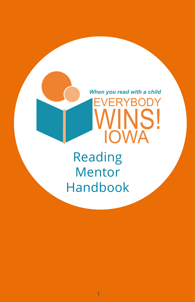

Reading Mentor Handbook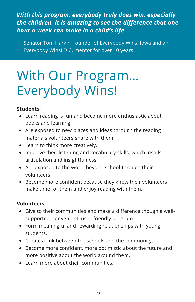### *With this program, everybody truly does win, especially the children. It is amazing to see the difference that one hour a week can make in a child's life.*

Senator Tom Harkin, founder of Everybody Wins! Iowa and an Everybody Wins! D.C. mentor for over 10 years

## With Our Program… Everybody Wins!

#### **Students:**

- Learn reading is fun and become more enthusiastic about books and learning.
- Are exposed to new places and ideas through the reading materials volunteers share with them.
- Learn to think more creatively.
- Improve their listening and vocabulary skills, which instills articulation and insightfulness.
- Are exposed to the world beyond school through their volunteers.
- Become more confident because they know their volunteers make time for them and enjoy reading with them.

#### **Volunteers:**

- Give to their communities and make a difference though a wellsupported, convenient, user-friendly program.
- Form meaningful and rewarding relationships with young students.
- Create a link between the schools and the community.
- Become more confident, more optimistic about the future and more positive about the world around them.
- Learn more about their communities.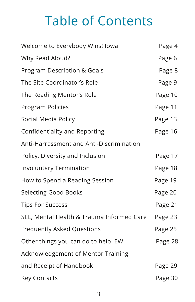## Table of Contents

| Welcome to Everybody Wins! Iowa           | Page 4  |
|-------------------------------------------|---------|
| Why Read Aloud?                           | Page 6  |
| Program Description & Goals               | Page 8  |
| The Site Coordinator's Role               | Page 9  |
| The Reading Mentor's Role                 | Page 10 |
| Program Policies                          | Page 11 |
| Social Media Policy                       | Page 13 |
| <b>Confidentiality and Reporting</b>      | Page 16 |
| Anti-Harrassment and Anti-Discrimination  |         |
| Policy, Diversity and Inclusion           | Page 17 |
| <b>Involuntary Termination</b>            | Page 18 |
| How to Spend a Reading Session            | Page 19 |
| <b>Selecting Good Books</b>               | Page 20 |
| <b>Tips For Success</b>                   | Page 21 |
| SEL, Mental Health & Trauma Informed Care | Page 23 |
| <b>Frequently Asked Questions</b>         | Page 25 |
| Other things you can do to help EWI       | Page 28 |
| Acknowledgement of Mentor Training        |         |
| and Receipt of Handbook                   | Page 29 |
| <b>Key Contacts</b>                       | Page 30 |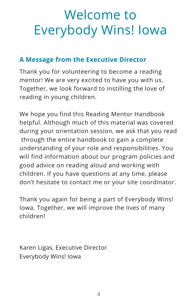## Welcome to Everybody Wins! Iowa

### **A Message from the Executive Director**

Thank you for volunteering to become a reading mentor! We are very excited to have you with us. Together, we look forward to instilling the love of reading in young children.

We hope you find this Reading Mentor Handbook helpful. Although much of this material was covered during your orientation session, we ask that you read through the entire handbook to gain a complete understanding of your role and responsibilities. You will find information about our program policies and good advice on reading aloud and working with children. If you have questions at any time, please don't hesitate to contact me or your site coordinator.

Thank you again for being a part of Everybody Wins! Iowa. Together, we will improve the lives of many children!

Karen Ligas, Executive Director Everybody Wins! Iowa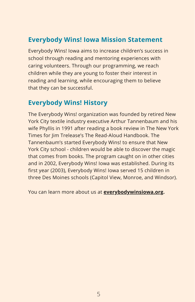### **Everybody Wins! Iowa Mission Statement**

Everybody Wins! Iowa aims to increase children's success in school through reading and mentoring experiences with caring volunteers. Through our programming, we reach children while they are young to foster their interest in reading and learning, while encouraging them to believe that they can be successful.

### **Everybody Wins! History**

The Everybody Wins! organization was founded by retired New York City textile industry executive Arthur Tannenbaum and his wife Phyllis in 1991 after reading a book review in The New York Times for Jim Trelease's The Read-Aloud Handbook. The Tannenbaum's started Everybody Wins! to ensure that New York City school - children would be able to discover the magic that comes from books. The program caught on in other cities and in 2002, Everybody Wins! Iowa was established. During its first year (2003), Everybody Wins! Iowa served 15 children in three Des Moines schools (Capitol View, Monroe, and Windsor).

You can learn more about us at **[everybodywinsiowa.org.](http://everybodywinsiowa.org/)**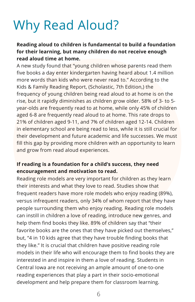## Why Read Aloud?

### **Reading aloud to children is fundamental to build a foundation for their learning, but many children do not receive enough read aloud time at home.**

A new study found that "young children whose parents read them five books a day enter kindergarten having heard about 1.4 million more words than kids who were never read to." According to the Kids & Family Reading Report, (Scholastic, 7th Edition,) the frequency of young children being read aloud to at home is on the rise, but it rapidly diminishes as children grow older. 58% of 3- to 5 year-olds are frequently read to at home, while only 45% of children aged 6-8 are frequently read aloud to at home. This rate drops to 21% of children aged 9-11, and 7% of children aged 12-14. Children in elementary school are being read to less, while it is still crucial for their development and future academic and life successes. We must fill this gap by providing more children with an opportunity to learn and grow from read aloud experiences.

#### **If reading is a foundation for a child's success, they need encouragement and motivation to read.**

Reading role models are very important for children as they learn their interests and what they love to read. Studies show that frequent readers have more role models who enjoy reading (89%), versus infrequent readers, only 34% of whom report that they have people surrounding them who enjoy reading. Reading role models can instill in children a love of reading, introduce new genres, and help them find books they like. 89% of children say that "their favorite books are the ones that they have picked out themselves," but, "4 in 10 kids agree that they have trouble finding books that they like." It is crucial that children have positive reading role models in their life who will encourage them to find books they are interested in and inspire in them a love of reading. Students in Central Iowa are not receiving an ample amount of one-to-one reading experiences that play a part in their socio-emotional development and help prepare them for classroom learning.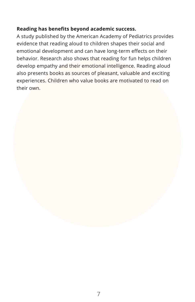#### **Reading has benefits beyond academic success.**

A study published by the American Academy of Pediatrics provides evidence that reading aloud to children shapes their social and emotional development and can have long-term effects on their behavior. Research also shows that reading for fun helps children develop empathy and their emotional intelligence. Reading aloud also presents books as sources of pleasant, valuable and exciting experiences. Children who value books are motivated to read on their own.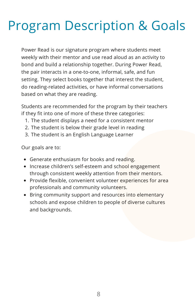## Program Description & Goals

Power Read is our signature program where students meet weekly with their mentor and use read aloud as an activity to bond and build a relationship together. During Power Read, the pair interacts in a one-to-one, informal, safe, and fun setting. They select books together that interest the student, do reading-related activities, or have informal conversations based on what they are reading.

Students are recommended for the program by their teachers if they fit into one of more of these three categories:

- 1. The student displays a need for a consistent mentor
- 2. The student is below their grade level in reading
- 3. The student is an English Language Learner

Our goals are to:

- Generate enthusiasm for books and reading.
- Increase children's self-esteem and school engagement through consistent weekly attention from their mentors.
- Provide flexible, convenient volunteer experiences for area professionals and community volunteers.
- Bring community support and resources into elementary schools and expose children to people of diverse cultures and backgrounds.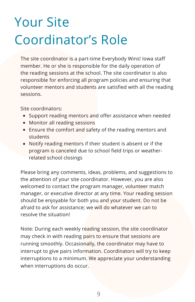# Your Site Coordinator's Role

The site coordinator is a part-time Everybody Wins! Iowa staff member. He or she is responsible for the daily operation of the reading sessions at the school. The site coordinator is also responsible for enforcing all program policies and ensuring that volunteer mentors and students are satisfied with all the reading sessions.

Site coordinators:

- Support reading mentors and offer assistance when needed
- Monitor all reading sessions
- Ensure the comfort and safety of the reading mentors and students
- Notify reading mentors if their student is absent or if the program is canceled due to school field trips or weatherrelated school closings

Please bring any comments, ideas, problems, and suggestions to the attention of your site coordinator. However, you are also welcomed to contact the program manager, volunteer match manager, or executive director at any time. Your reading session should be enjoyable for both you and your student. Do not be afraid to ask for assistance; we will do whatever we can to resolve the situation!

Note: During each weekly reading session, the site coordinator may check in with reading pairs to ensure that sessions are running smoothly. Occasionally, the coordinator may have to interrupt to give pairs information. Coordinators will try to keep interruptions to a minimum. We appreciate your understanding when interruptions do occur.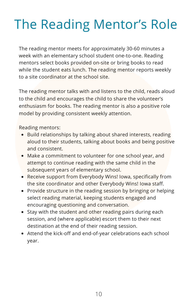## The Reading Mentor's Role

The reading mentor meets for approximately 30-60 minutes a week with an elementary school student one-to-one. Reading mentors select books provided on-site or bring books to read while the student eats lunch. The reading mentor reports weekly to a site coordinator at the school site.

The reading mentor talks with and listens to the child, reads aloud to the child and encourages the child to share the volunteer's enthusiasm for books. The reading mentor is also a positive role model by providing consistent weekly attention.

Reading mentors:

- Build relationships by talking about shared interests, reading aloud to their students, talking about books and being positive and consistent.
- Make a commitment to volunteer for one school year, and attempt to continue reading with the same child in the subsequent years of elementary school.
- Receive support from Everybody Wins! Iowa, specifically from the site coordinator and other Everybody Wins! Iowa staff.
- Provide structure in the reading session by bringing or helping select reading material, keeping students engaged and encouraging questioning and conversation.
- Stay with the student and other reading pairs during each session, and (where applicable) escort them to their next destination at the end of their reading session.
- Attend the kick-off and end-of-year celebrations each school year.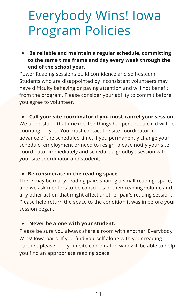## Everybody Wins! Iowa Program Policies

**Be reliable and maintain a regular schedule, committing to the same time frame and day every week through the end of the school year.**

Power Reading sessions build confidence and self-esteem. Students who are disappointed by inconsistent volunteers may have difficulty behaving or paying attention and will not benefit from the program. Please consider your ability to commit before you agree to volunteer.

#### **Call your site coordinator if you must cancel your session.**

We understand that unexpected things happen, but a child will be counting on you. You must contact the site coordinator in advance of the scheduled time. If you permanently change your schedule, employment or need to resign, please notify your site coordinator immediately and schedule a goodbye session with your site coordinator and student.

#### **Be considerate in the reading space.**

There may be many reading pairs sharing a small reading space, and we ask mentors to be conscious of their reading volume and any other action that might affect another pair's reading session. Please help return the space to the condition it was in before your session began.

#### **Never be alone with your student.**

Please be sure you always share a room with another Everybody Wins! Iowa pairs. If you find yourself alone with your reading partner, please find your site coordinator, who will be able to help you find an appropriate reading space.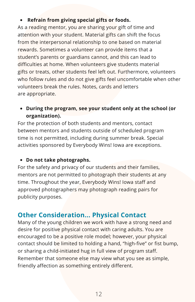#### **Refrain from giving special gifts or foods.**  $\bullet$

As a reading mentor, you are sharing your gift of time and attention with your student. Material gifts can shift the focus from the interpersonal relationship to one based on material rewards. Sometimes a volunteer can provide items that a student's parents or guardians cannot, and this can lead to difficulties at home. When volunteers give students material gifts or treats, other students feel left out. Furthermore, volunteers who follow rules and do not give gifts feel uncomfortable when other volunteers break the rules. Notes, cards and letters are appropriate.

**During the program, see your student only at the school (or organization).**

For the protection of both students and mentors, contact between mentors and students outside of scheduled program time is not permitted, including during summer break. Special activities sponsored by Everybody Wins! Iowa are exceptions.

#### **Do not take photographs.**

For the safety and privacy of our students and their families, mentors are not permitted to photograph their students at any time. Throughout the year, Everybody Wins! Iowa staff and approved photographers may photograph reading pairs for publicity purposes.

### **Other Consideration... Physical Contact**

Many of the young children we work with have a strong need and desire for positive physical contact with caring adults. You are encouraged to be a positive role model; however, your physical contact should be limited to holding a hand, "high-five" or fist bump, or sharing a child-initiated hug in full view of program staff. Remember that someone else may view what you see as simple, friendly affection as something entirely different.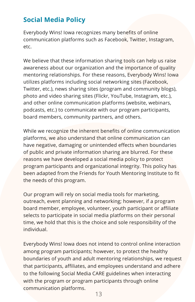## **Social Media Policy**

Everybody Wins! Iowa recognizes many benefits of online communication platforms such as Facebook, Twitter, Instagram, etc.

We believe that these information sharing tools can help us raise awareness about our organization and the importance of quality mentoring relationships. For these reasons, Everybody Wins! Iowa utilizes platforms including social networking sites (Facebook, Twitter, etc.), news sharing sites (program and community blogs), photo and video sharing sites (Flickr, YouTube, Instagram, etc.), and other online communication platforms (website, webinars, podcasts, etc.) to communicate with our program participants, board members, community partners, and others.

While we recognize the inherent benefits of online communication platforms, we also understand that online communication can have negative, damaging or unintended effects when boundaries of public and private information sharing are blurred. For these reasons we have developed a social media policy to protect program participants and organizational integrity. This policy has been adapted from the Friends for Youth Mentoring Institute to fit the needs of this program.

Our program will rely on social media tools for marketing, outreach, event planning and networking; however, if a program board member, employee, volunteer, youth participant or affiliate selects to participate in social media platforms on their personal time, we hold that this is the choice and sole responsibility of the individual.

Everybody Wins! Iowa does not intend to control online interaction among program participants; however, to protect the healthy boundaries of youth and adult mentoring relationships, we request that participants, affiliates, and employees understand and adhere to the following Social Media CARE guidelines when interacting with the program or program participants through online communication platforms.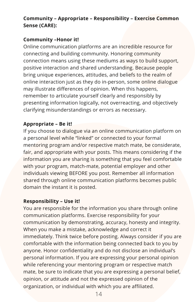### **Community – Appropriate – Responsibility – Exercise Common Sense (CARE):**

#### **Community –Honor it!**

Online communication platforms are an incredible resource for connecting and building community. Honoring community connection means using these mediums as ways to build support, positive interaction and shared understanding. Because people bring unique experiences, attitudes, and beliefs to the realm of online interaction just as they do in-person, some online dialogue may illustrate differences of opinion. When this happens, remember to articulate yourself clearly and responsibly by presenting information logically, not overreacting, and objectively clarifying misunderstandings or errors as necessary.

### **Appropriate – Be it!**

If you choose to dialogue via an online communication platform on a personal level while "linked" or connected to your formal mentoring program and/or respective match mate, be considerate, fair, and appropriate with your posts. This means considering if the information you are sharing is something that you feel comfortable with your program, match-mate, potential employer and other individuals viewing BEFORE you post. Remember all information shared through online communication platforms becomes public domain the instant it is posted.

#### **Responsibility – Use it!**

You are responsible for the information you share through online communication platforms. Exercise responsibility for your communication by demonstrating, accuracy, honesty and integrity. When you make a mistake, acknowledge and correct it immediately. Think twice before posting. Always consider if you are comfortable with the information being connected back to you by anyone. Honor confidentiality and do not disclose an individual's personal information. If you are expressing your personal opinion while referencing your mentoring program or respective match mate, be sure to indicate that you are expressing a personal belief, opinion, or attitude and not the expressed opinion of the organization, or individual with which you are affiliated.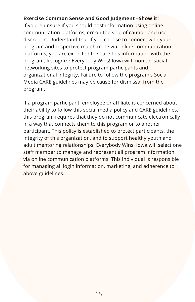#### **Exercise Common Sense and Good Judgment –Show it!**

If you're unsure if you should post information using online communication platforms, err on the side of caution and use discretion. Understand that if you choose to connect with your program and respective match mate via online communication platforms, you are expected to share this information with the program. Recognize Everybody Wins! Iowa will monitor social networking sites to protect program participants and organizational integrity. Failure to follow the program's Social Media CARE guidelines may be cause for dismissal from the program.

If a program participant, employee or affiliate is concerned about their ability to follow this social media policy and CARE guidelines, this program requires that they do not communicate electronically in a way that connects them to this program or to another participant. This policy is established to protect participants, the integrity of this organization, and to support healthy youth and adult mentoring relationships. Everybody Wins! Iowa will select one staff member to manage and represent all program information via online communication platforms. This individual is responsible for managing all login information, marketing, and adherence to above guidelines.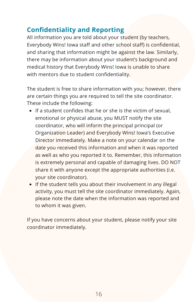### **Confidentiality and Reporting**

All information you are told about your student (by teachers, Everybody Wins! Iowa staff and other school staff) is confidential, and sharing that information might be against the law. Similarly, there may be information about your student's background and medical history that Everybody Wins! Iowa is unable to share with mentors due to student confidentiality.

The student is free to share information with you; however, there are certain things you are required to tell the site coordinator. These include the following:

- If a student confides that he or she is the victim of sexual, emotional or physical abuse, you MUST notify the site coordinator, who will inform the principal principal (or Organization Leader) and Everybody Wins! Iowa's Executive Director immediately. Make a note on your calendar on the date you received this information and when it was reported as well as who you reported it to. Remember, this information is extremely personal and capable of damaging lives. DO NOT share it with anyone except the appropriate authorities (i.e. your site coordinator).
- If the student tells you about their involvement in any illegal activity, you must tell the site coordinator immediately. Again, please note the date when the information was reported and to whom it was given.

If you have concerns about your student, please notify your site coordinator immediately.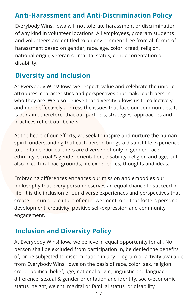### **Anti-Harassment and Anti-Discrimination Policy**

Everybody Wins! Iowa will not tolerate harassment or discrimination of any kind in volunteer locations. All employees, program students and volunteers are entitled to an environment free from all forms of harassment based on gender, race, age, color, creed, religion, national origin, veteran or marital status, gender orientation or disability.

### **Diversity and Inclusion**

At Everybody Wins! Iowa we respect, value and celebrate the unique attributes, characteristics and perspectives that make each person who they are. We also believe that diversity allows us to collectively and more effectively address the issues that face our communities. It is our aim, therefore, that our partners, strategies, approaches and practices reflect our beliefs.

At the heart of our efforts, we seek to inspire and nurture the human spirit, understanding that each person brings a distinct life experience to the table. Our partners are diverse not only in gender, race, ethnicity, sexual & gender orientation, disability, religion and age, but also in cultural backgrounds, life experiences, thoughts and ideas.

Embracing differences enhances our mission and embodies our philosophy that every person deserves an equal chance to succeed in life. It is the inclusion of our diverse experiences and perspectives that create our unique culture of empowerment, one that fosters personal development, creativity, positive self-expression and community engagement.

### **Inclusion and Diversity Policy**

At Everybody Wins! Iowa we believe in equal opportunity for all. No person shall be excluded from participation in, be denied the benefits of, or be subjected to discrimination in any program or activity available from Everybody Wins! Iowa on the basis of race, color, sex, religion, creed, political belief, age, national origin, linguistic and language difference, sexual & gender orientation and identity, socio-economic status, height, weight, marital or familial status, or disability.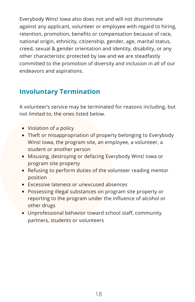Everybody Wins! Iowa also does not and will not discriminate against any applicant, volunteer or employee with regard to hiring, retention, promotion, benefits or compensation because of race, national origin, ethnicity, citizenship, gender, age, marital status, creed, sexual & gender orientation and identity, disability, or any other characteristic protected by law and we are steadfastly committed to the promotion of diversity and inclusion in all of our endeavors and aspirations.

### **Involuntary Termination**

A volunteer's service may be terminated for reasons including, but not limited to, the ones listed below.

- Violation of a policy
- Theft or misappropriation of property belonging to Everybody Wins! Iowa, the program site, an employee, a volunteer, a student or another person
- Misusing, destroying or defacing Everybody Wins! Iowa or program site property
- Refusing to perform duties of the volunteer reading mentor position
- Excessive lateness or unexcused absences
- Possessing illegal substances on program site property or reporting to the program under the influence of alcohol or other drugs
- Unprofessional behavior toward school staff, community partners, students or volunteers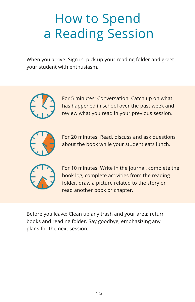## How to Spend a Reading Session

When you arrive: Sign in, pick up your reading folder and greet your student with enthusiasm.



For 5 minutes: Conversation: Catch up on what has happened in school over the past week and review what you read in your previous session.



For 20 minutes: Read, discuss and ask questions about the book while your student eats lunch.



For 10 minutes: Write in the journal, complete the book log, complete activities from the reading folder, draw a picture related to the story or read another book or chapter.

Before you leave: Clean up any trash and your area; return books and reading folder. Say goodbye, emphasizing any plans for the next session.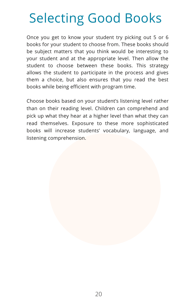## Selecting Good Books

Once you get to know your student try picking out 5 or 6 books for your student to choose from. These books should be subject matters that you think would be interesting to your student and at the appropriate level. Then allow the student to choose between these books. This strategy allows the student to participate in the process and gives them a choice, but also ensures that you read the best books while being efficient with program time.

Choose books based on your student's listening level rather than on their reading level. Children can comprehend and pick up what they hear at a higher level than what they can read themselves. Exposure to these more sophisticated books will increase students' vocabulary, language, and listening comprehension.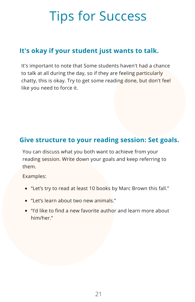## Tips for Success

## **It's okay if your student just wants to talk.**

It's important to note that Some students haven't had a chance to talk at all during the day, so if they are feeling particularly chatty, this is okay. Try to get some reading done, but don't feel like you need to force it.

### **Give structure to your reading session: Set goals.**

You can discuss what you both want to achieve from your reading session. Write down your goals and keep referring to them.

Examples:

- "Let's try to read at least 10 books by Marc Brown this fall."
- "Let's learn about two new animals."
- "I'd like to find a new favorite author and learn more about him/her."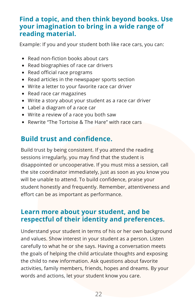### **Find a topic, and then think beyond books. Use your imagination to bring in a wide range of reading material.**

Example: If you and your student both like race cars, you can:

- Read non-fiction books about cars
- Read biographies of race car drivers
- Read official race programs
- Read articles in the newspaper sports section
- Write a letter to your favorite race car driver
- Read race car magazines
- Write a story about your student as a race car driver
- Label a diagram of a race car
- Write a review of a race you both saw
- Rewrite "The Tortoise & The Hare" with race cars

## **Build trust and confidence.**

Build trust by being consistent. If you attend the reading sessions irregularly, you may find that the student is disappointed or uncooperative. If you must miss a session, call the site coordinator immediately, just as soon as you know you will be unable to attend. To build confidence, praise your student honestly and frequently. Remember, attentiveness and effort can be as important as performance.

### **Learn more about your student, and be respectful of their identity and preferences.**

Understand your student in terms of his or her own background and values. Show interest in your student as a person. Listen carefully to what he or she says. Having a conversation meets the goals of helping the child articulate thoughts and exposing the child to new information. Ask questions about favorite activities, family members, friends, hopes and dreams. By your words and actions, let your student know you care.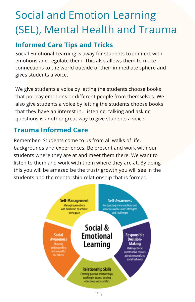## Social and Emotion Learning (SEL), Mental Health and Trauma

### **Informed Care Tips and Tricks**

Social Emotional Learning is away for students to connect with emotions and regulate them. This also allows them to make connections to the world outside of their immediate sphere and gives students a voice.

We give students a voice by letting the students choose books that portray emotions or different people from themselves. We also give students a voice by letting the students choose books that they have an interest in. Listening, talking and asking questions is another great way to give students a voice.

## **Trauma Informed Care**

Remember- Students come to us from all walks of life, backgrounds and experiences. Be present and work with our students where they are at and meet them there. We want to listen to them and work with them where they are at. By doing this you will be amazed be the trust/ growth you will see in the students and the mentorship relationship that is formed.

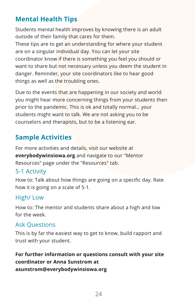## **Mental Health Tips**

Students mental health improves by knowing there is an adult outside of their family that cares for them.

These tips are to get an understanding for where your student are on a singular individual day. You can let your site coordinator know if there is something you feel you should or want to share but not necessary unless you deem the student in danger. Reminder, your site coordinators like to hear good things as well as the troubling ones.

Due to the events that are happening in our society and world you might hear more concerning things from your students then prior to the pandemic. This is ok and totally normal… your students might want to talk. We are not asking you to be counselors and therapists, but to be a listening ear.

## **Sample Activities**

For more activities and details, visit our website at **everybodywinsiowa.org** and navigate to our "Mentor Resources" page under the "Resources" tab.

### 5-1 Activity

How to: Talk about how things are going on a specific day. Rate how it is going on a scale of 5-1.

### High/ Low

How to: The mentor and students share about a high and low for the week.

### Ask Questions

This is by far the easiest way to get to know, build rapport and trust with your student.

**For further information or questions consult with your site coordinator or Anna Sunstrom at asunstrom@everybodywinsiowa.org**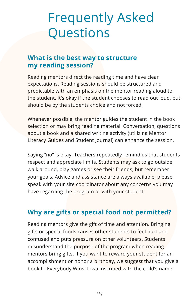## Frequently Asked **Questions**

### **What is the best way to structure my reading session?**

Reading mentors direct the reading time and have clear expectations. Reading sessions should be structured and predictable with an emphasis on the mentor reading aloud to the student. It's okay if the student chooses to read out loud, but should be by the students choice and not forced.

Whenever possible, the mentor guides the student in the book selection or may bring reading material. Conversation, questions about a book and a shared writing activity (utilizing Mentor Literacy Guides and Student Journal) can enhance the session.

Saying "no" is okay. Teachers repeatedly remind us that students respect and appreciate limits. Students may ask to go outside, walk around, play games or see their friends, but remember your goals. Advice and assistance are always available; please speak with your site coordinator about any concerns you may have regarding the program or with your student.

### **Why are gifts or special food not permitted?**

Reading mentors give the gift of time and attention. Bringing gifts or special foods causes other students to feel hurt and confused and puts pressure on other volunteers. Students misunderstand the purpose of the program when reading mentors bring gifts. If you want to reward your student for an accomplishment or honor a birthday, we suggest that you give a book to Everybody Wins! Iowa inscribed with the child's name.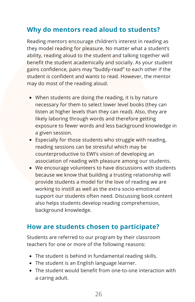### **Why do mentors read aloud to students?**

Reading mentors encourage children's interest in reading as they model reading for pleasure. No matter what a student's ability, reading aloud to the student and talking together will benefit the student academically and socially. As your student gains confidence, pairs may "buddy-read" to each other if the student is confident and wants to read. However, the mentor may do most of the reading aloud.

- When students are doing the reading, it is by nature necessary for them to select lower level books (they can listen at higher levels than they can read). Also, they are likely laboring through words and therefore getting exposure to fewer words and less background knowledge in a given session.
- Especially for those students who struggle with reading, reading sessions can be stressful which may be counterproductive to EWI's vision of developing an association of reading with pleasure among our students.
- We encourage volunteers to have discussions with students because we know that building a trusting relationship will provide students a model for the love of reading we are working to instill as well as the extra socio-emotional support our students often need. Discussing book content also helps students develop reading comprehension, background knowledge.

### **How are students chosen to participate?**

Students are referred to our program by their classroom teachers for one or more of the following reasons:

- The student is behind in fundamental reading skills.
- The student is an English language learner.
- The student would benefit from one-to-one interaction with a caring adult.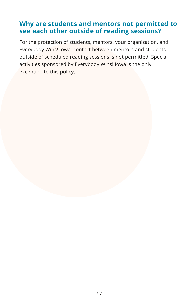### **Why are students and mentors not permitted to see each other outside of reading sessions?**

For the protection of students, mentors, your organization, and Everybody Wins! Iowa, contact between mentors and students outside of scheduled reading sessions is not permitted. Special activities sponsored by Everybody Wins! Iowa is the only exception to this policy.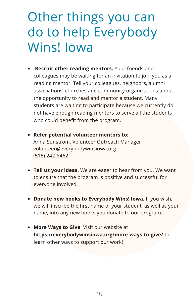## Other things you can do to help Everybody Wins! Iowa

- **Recruit other reading mentors.** Your friends and colleagues may be waiting for an invitation to join you as a reading mentor. Tell your colleagues, neighbors, alumni associations, churches and community organizations about the opportunity to read and mentor a student. Many students are waiting to participate because we currently do not have enough reading mentors to serve all the students who could benefit from the program.
- **Refer potential volunteer mentors to:** Anna Sunstrom, Volunteer Outreach Manager volunteer@everybodywinsiowa.org (515) 242-8462
- **Tell us your ideas.** We are eager to hear from you. We want to ensure that the program is positive and successful for everyone involved.
- **Donate new books to Everybody Wins! Iowa.** If you wish, we will inscribe the first name of your student, as well as your name, into any new books you donate to our program.
- **More Ways to Give**: Visit our website at **<https://everybodywinsiowa.org/more-ways-to-give/>** to learn other ways to support our work!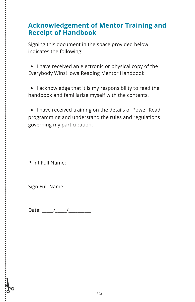### **Acknowledgement of Mentor Training and Receipt of Handbook**

Signing this document in the space provided below indicates the following:

• I have received an electronic or physical copy of the Everybody Wins! Iowa Reading Mentor Handbook.

• I acknowledge that it is my responsibility to read the handbook and familiarize myself with the contents.

• I have received training on the details of Power Read programming and understand the rules and regulations governing my participation.

Print Full Name: **Example 20** 

Sign Full Name:  $\Box$ 

Date:  $\frac{1}{2}$  /  $\frac{1}{2}$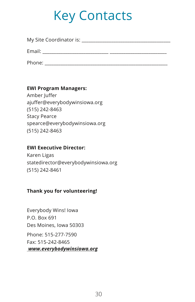## Key Contacts

| My Site Coordinator is: |  |
|-------------------------|--|
| Email:                  |  |
| Phone:                  |  |

#### **EWI Program Managers:**

Amber Juffer ajuffer@everybodywinsiowa.org (515) 242-8463 Stacy Pearce spearce@everybodywinsiowa.org (515) 242-8463

#### **EWI Executive Director:**

Karen Ligas statedirector@everybodywinsiowa.org (515) 242-8461

#### **Thank you for volunteering!**

Everybody Wins! Iowa P.O. Box 691 Des Moines, Iowa 50303 Phone: 515-277-7590 Fax: 515-242-8465 *[www.everybodywinsiowa.org](http://everybodywinsiowa.org/)*